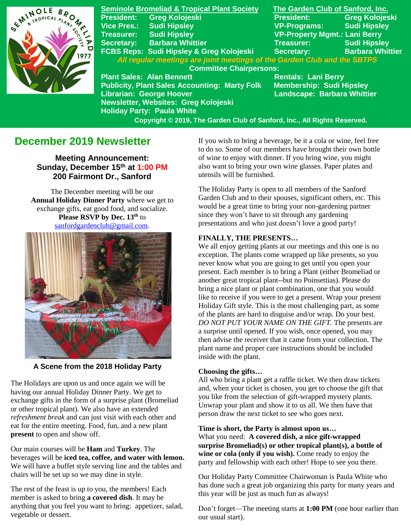

**Seminole Bromeliad & Tropical Plant Society The Garden Club of Sanford, Inc. President: Greg Kolojeski President: Greg Kolojeski Vice Pres.: Sudi Hipsley VP-Programs: Sudi Hipsley Treasurer: Sudi Hipsley VP-Property Mgmt.: Lani Berry Secretary: Barbara Whittier Treasurer: Sudi Hipsley FCBS Reps: Sudi Hipsley & Greg Kolojeski Secretary:** *All regular meetings are joint meetings of the Garden Club and the SBTPS*  **Committee Chairpersons: Plant Sales: Alan Bennett**<br>Publicity, Plant Sales Accounting: Marty Folk Membership: Sudi Hipsley **Publicity, Plant Sales Accounting: Marty Folk Librarian: George Hoover Landscape: Barbara Whittier Newsletter, Websites: Greg Kolojeski Holiday Party: Paula White** 

 **Copyright © 2019, The Garden Club of Sanford, Inc., All Rights Reserved.**

## **December 2019 Newsletter**

**Meeting Announcement: Sunday, December 15 th at 1:00 PM 200 Fairmont Dr., Sanford**

The December meeting will be our **Annual Holiday Dinner Party** where we get to exchange gifts, eat good food, and socialize. **Please RSVP by Dec. 13 th** to [sanfordgardenclub@gmail.com](mailto:sanfordgardenclub@gmail.com?subject=Holiday%20Party).



**A Scene from the 2018 Holiday Party**

The Holidays are upon us and once again we will be having our annual Holiday Dinner Party. We get to exchange gifts in the form of a surprise plant (Bromeliad or other tropical plant). We also have an extended *refreshment break* and can just visit with each other and eat for the entire meeting. Food, fun, and a new plant **present** to open and show off.

Our main courses will be **Ham** and **Turkey**. The beverages will be **iced tea, coffee, and water with lemon.**  We will have a buffet style serving line and the tables and chairs will be set up so we may dine in style.

The rest of the feast is up to you, the members! Each member is asked to bring **a covered dish**. It may be anything that you feel you want to bring: appetizer, salad, vegetable or dessert.

If you wish to bring a beverage, be it a cola or wine, feel free to do so. Some of our members have brought their own bottle of wine to enjoy with dinner. If you bring wine, you might also want to bring your own wine glasses. Paper plates and utensils will be furnished.

The Holiday Party is open to all members of the Sanford Garden Club and to their spouses, significant others, etc. This would be a great time to bring your non-gardening partner since they won't have to sit through any gardening presentations and who just doesn't love a good party!

### **FINALLY, THE PRESENTS…**

We all enjoy getting plants at our meetings and this one is no exception. The plants come wrapped up like presents, so you never know what you are going to get until you open your present. Each member is to bring a Plant (either Bromeliad or another great tropical plant--but no Poinsettias). Please do bring a nice plant or plant combination, one that you would like to receive if you were to get a present. Wrap your present Holiday Gift style. This is the most challenging part, as some of the plants are hard to disguise and/or wrap. Do your best*. DO NOT PUT YOUR NAME ON THE GIFT.* The presents are a surprise until opened. If you wish, once opened, you may then advise the receiver that it came from your collection. The plant name and proper care instructions should be included inside with the plant.

#### **Choosing the gifts…**

All who bring a plant get a raffle ticket. We then draw tickets and, when your ticket is chosen, you get to choose the gift that you like from the selection of gift-wrapped mystery plants. Unwrap your plant and show it to us all. We then have that person draw the next ticket to see who goes next.

**Time is short, the Party is almost upon us…** What you need: **A covered dish, a nice gift-wrapped surprise Bromeliad(s) or other tropical plant(s), a bottle of wine or cola (only if you wish).** Come ready to enjoy the party and fellowship with each other! Hope to see you there.

Our Holiday Party Committee Chairwoman is Paula White who has done such a great job organizing this party for many years and this year will be just as much fun as always!

Don't forget—The meeting starts at **1:00 PM** (one hour earlier than our usual start).